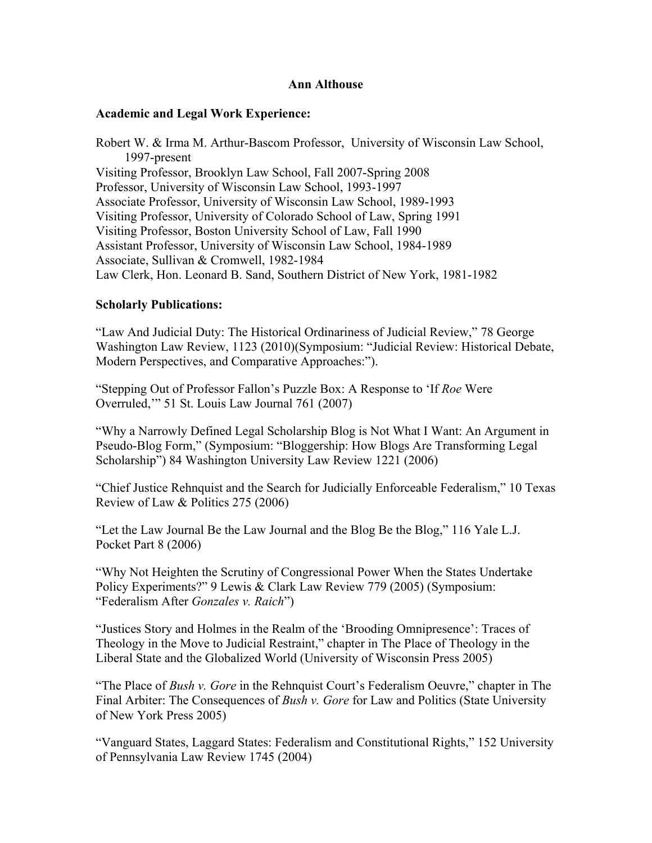### **Ann Althouse**

### **Academic and Legal Work Experience:**

Robert W. & Irma M. Arthur-Bascom Professor, University of Wisconsin Law School, 1997-present Visiting Professor, Brooklyn Law School, Fall 2007-Spring 2008 Professor, University of Wisconsin Law School, 1993-1997 Associate Professor, University of Wisconsin Law School, 1989-1993 Visiting Professor, University of Colorado School of Law, Spring 1991 Visiting Professor, Boston University School of Law, Fall 1990 Assistant Professor, University of Wisconsin Law School, 1984-1989 Associate, Sullivan & Cromwell, 1982-1984 Law Clerk, Hon. Leonard B. Sand, Southern District of New York, 1981-1982

# **Scholarly Publications:**

"Law And Judicial Duty: The Historical Ordinariness of Judicial Review," 78 George Washington Law Review, 1123 (2010)(Symposium: "Judicial Review: Historical Debate, Modern Perspectives, and Comparative Approaches:").

"Stepping Out of Professor Fallon's Puzzle Box: A Response to 'If *Roe* Were Overruled,'" 51 St. Louis Law Journal 761 (2007)

"Why a Narrowly Defined Legal Scholarship Blog is Not What I Want: An Argument in Pseudo-Blog Form," (Symposium: "Bloggership: How Blogs Are Transforming Legal Scholarship") 84 Washington University Law Review 1221 (2006)

"Chief Justice Rehnquist and the Search for Judicially Enforceable Federalism," 10 Texas Review of Law & Politics 275 (2006)

"Let the Law Journal Be the Law Journal and the Blog Be the Blog," 116 Yale L.J. Pocket Part 8 (2006)

"Why Not Heighten the Scrutiny of Congressional Power When the States Undertake Policy Experiments?" 9 Lewis & Clark Law Review 779 (2005) (Symposium: "Federalism After *Gonzales v. Raich*")

"Justices Story and Holmes in the Realm of the 'Brooding Omnipresence': Traces of Theology in the Move to Judicial Restraint," chapter in The Place of Theology in the Liberal State and the Globalized World (University of Wisconsin Press 2005)

"The Place of *Bush v. Gore* in the Rehnquist Court's Federalism Oeuvre," chapter in The Final Arbiter: The Consequences of *Bush v. Gore* for Law and Politics (State University of New York Press 2005)

"Vanguard States, Laggard States: Federalism and Constitutional Rights," 152 University of Pennsylvania Law Review 1745 (2004)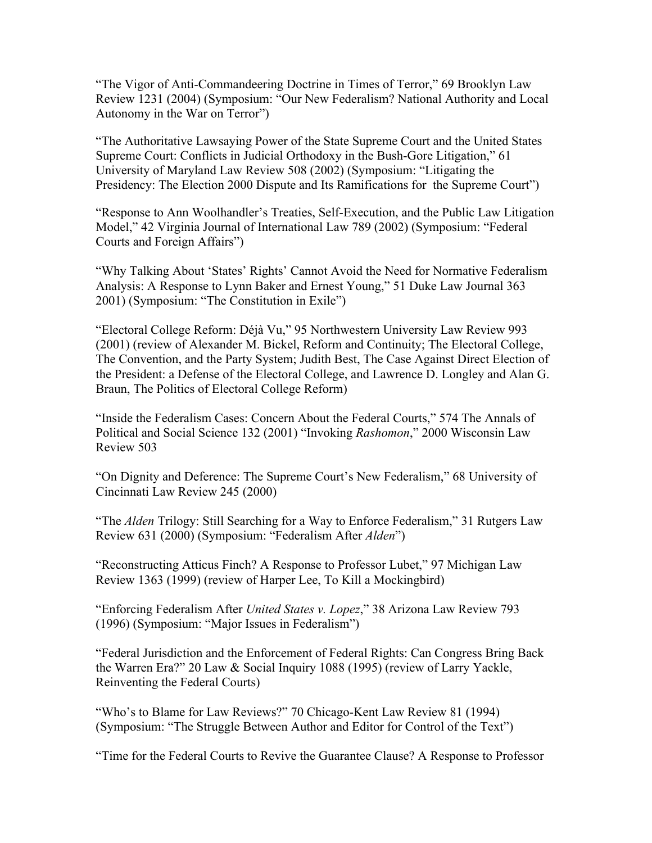"The Vigor of Anti-Commandeering Doctrine in Times of Terror," 69 Brooklyn Law Review 1231 (2004) (Symposium: "Our New Federalism? National Authority and Local Autonomy in the War on Terror")

"The Authoritative Lawsaying Power of the State Supreme Court and the United States Supreme Court: Conflicts in Judicial Orthodoxy in the Bush-Gore Litigation," 61 University of Maryland Law Review 508 (2002) (Symposium: "Litigating the Presidency: The Election 2000 Dispute and Its Ramifications for the Supreme Court")

"Response to Ann Woolhandler's Treaties, Self-Execution, and the Public Law Litigation Model," 42 Virginia Journal of International Law 789 (2002) (Symposium: "Federal Courts and Foreign Affairs")

"Why Talking About 'States' Rights' Cannot Avoid the Need for Normative Federalism Analysis: A Response to Lynn Baker and Ernest Young," 51 Duke Law Journal 363 2001) (Symposium: "The Constitution in Exile")

"Electoral College Reform: Déjà Vu," 95 Northwestern University Law Review 993 (2001) (review of Alexander M. Bickel, Reform and Continuity; The Electoral College, The Convention, and the Party System; Judith Best, The Case Against Direct Election of the President: a Defense of the Electoral College, and Lawrence D. Longley and Alan G. Braun, The Politics of Electoral College Reform)

"Inside the Federalism Cases: Concern About the Federal Courts," 574 The Annals of Political and Social Science 132 (2001) "Invoking *Rashomon*," 2000 Wisconsin Law Review 503

"On Dignity and Deference: The Supreme Court's New Federalism," 68 University of Cincinnati Law Review 245 (2000)

"The *Alden* Trilogy: Still Searching for a Way to Enforce Federalism," 31 Rutgers Law Review 631 (2000) (Symposium: "Federalism After *Alden*")

"Reconstructing Atticus Finch? A Response to Professor Lubet," 97 Michigan Law Review 1363 (1999) (review of Harper Lee, To Kill a Mockingbird)

"Enforcing Federalism After *United States v. Lopez*," 38 Arizona Law Review 793 (1996) (Symposium: "Major Issues in Federalism")

"Federal Jurisdiction and the Enforcement of Federal Rights: Can Congress Bring Back the Warren Era?" 20 Law & Social Inquiry 1088 (1995) (review of Larry Yackle, Reinventing the Federal Courts)

"Who's to Blame for Law Reviews?" 70 Chicago-Kent Law Review 81 (1994) (Symposium: "The Struggle Between Author and Editor for Control of the Text")

"Time for the Federal Courts to Revive the Guarantee Clause? A Response to Professor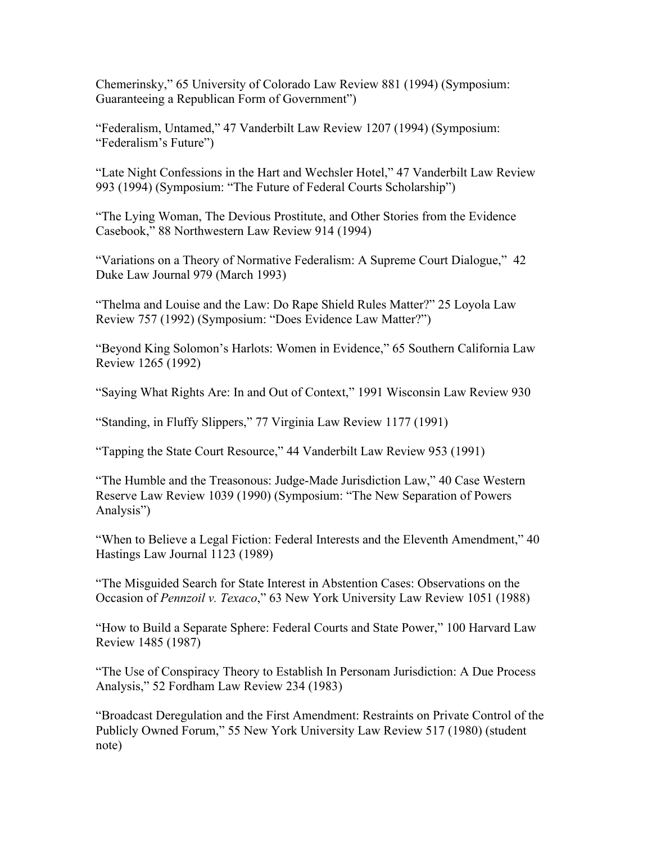Chemerinsky," 65 University of Colorado Law Review 881 (1994) (Symposium: Guaranteeing a Republican Form of Government")

"Federalism, Untamed," 47 Vanderbilt Law Review 1207 (1994) (Symposium: "Federalism's Future")

"Late Night Confessions in the Hart and Wechsler Hotel," 47 Vanderbilt Law Review 993 (1994) (Symposium: "The Future of Federal Courts Scholarship")

"The Lying Woman, The Devious Prostitute, and Other Stories from the Evidence Casebook," 88 Northwestern Law Review 914 (1994)

"Variations on a Theory of Normative Federalism: A Supreme Court Dialogue," 42 Duke Law Journal 979 (March 1993)

"Thelma and Louise and the Law: Do Rape Shield Rules Matter?" 25 Loyola Law Review 757 (1992) (Symposium: "Does Evidence Law Matter?")

"Beyond King Solomon's Harlots: Women in Evidence," 65 Southern California Law Review 1265 (1992)

"Saying What Rights Are: In and Out of Context," 1991 Wisconsin Law Review 930

"Standing, in Fluffy Slippers," 77 Virginia Law Review 1177 (1991)

"Tapping the State Court Resource," 44 Vanderbilt Law Review 953 (1991)

"The Humble and the Treasonous: Judge-Made Jurisdiction Law," 40 Case Western Reserve Law Review 1039 (1990) (Symposium: "The New Separation of Powers Analysis")

"When to Believe a Legal Fiction: Federal Interests and the Eleventh Amendment," 40 Hastings Law Journal 1123 (1989)

"The Misguided Search for State Interest in Abstention Cases: Observations on the Occasion of *Pennzoil v. Texaco*," 63 New York University Law Review 1051 (1988)

"How to Build a Separate Sphere: Federal Courts and State Power," 100 Harvard Law Review 1485 (1987)

"The Use of Conspiracy Theory to Establish In Personam Jurisdiction: A Due Process Analysis," 52 Fordham Law Review 234 (1983)

"Broadcast Deregulation and the First Amendment: Restraints on Private Control of the Publicly Owned Forum," 55 New York University Law Review 517 (1980) (student note)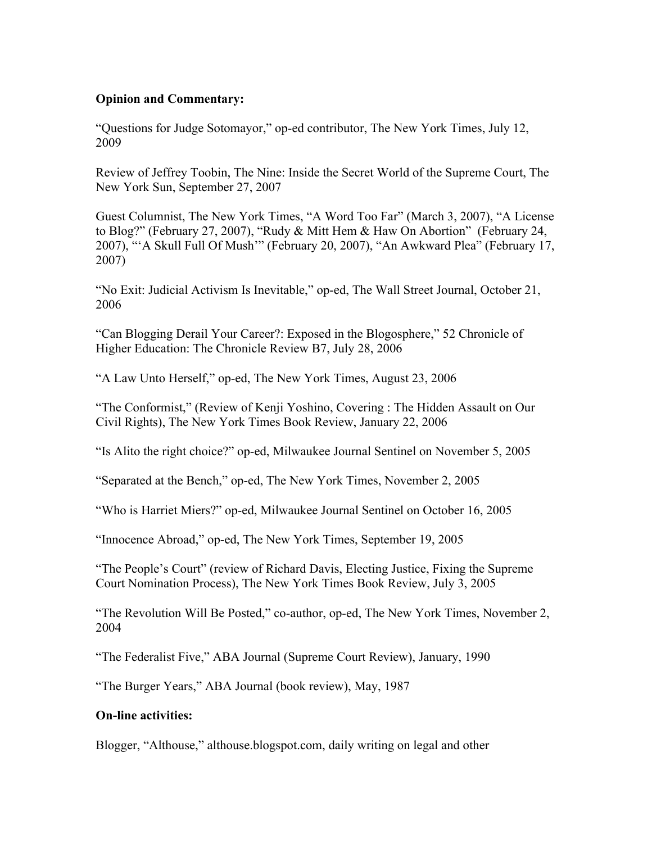# **Opinion and Commentary:**

"Questions for Judge Sotomayor," op-ed contributor, The New York Times, July 12, 2009

Review of Jeffrey Toobin, The Nine: Inside the Secret World of the Supreme Court, The New York Sun, September 27, 2007

Guest Columnist, The New York Times, "A Word Too Far" (March 3, 2007), "A License to Blog?" (February 27, 2007), "Rudy & Mitt Hem & Haw On Abortion" (February 24, 2007), "'A Skull Full Of Mush'" (February 20, 2007), "An Awkward Plea" (February 17, 2007)

"No Exit: Judicial Activism Is Inevitable," op-ed, The Wall Street Journal, October 21, 2006

"Can Blogging Derail Your Career?: Exposed in the Blogosphere," 52 Chronicle of Higher Education: The Chronicle Review B7, July 28, 2006

"A Law Unto Herself," op-ed, The New York Times, August 23, 2006

"The Conformist," (Review of Kenji Yoshino, Covering : The Hidden Assault on Our Civil Rights), The New York Times Book Review, January 22, 2006

"Is Alito the right choice?" op-ed, Milwaukee Journal Sentinel on November 5, 2005

"Separated at the Bench," op-ed, The New York Times, November 2, 2005

"Who is Harriet Miers?" op-ed, Milwaukee Journal Sentinel on October 16, 2005

"Innocence Abroad," op-ed, The New York Times, September 19, 2005

"The People's Court" (review of Richard Davis, Electing Justice, Fixing the Supreme Court Nomination Process), The New York Times Book Review, July 3, 2005

"The Revolution Will Be Posted," co-author, op-ed, The New York Times, November 2, 2004

"The Federalist Five," ABA Journal (Supreme Court Review), January, 1990

"The Burger Years," ABA Journal (book review), May, 1987

# **On-line activities:**

Blogger, "Althouse," althouse.blogspot.com, daily writing on legal and other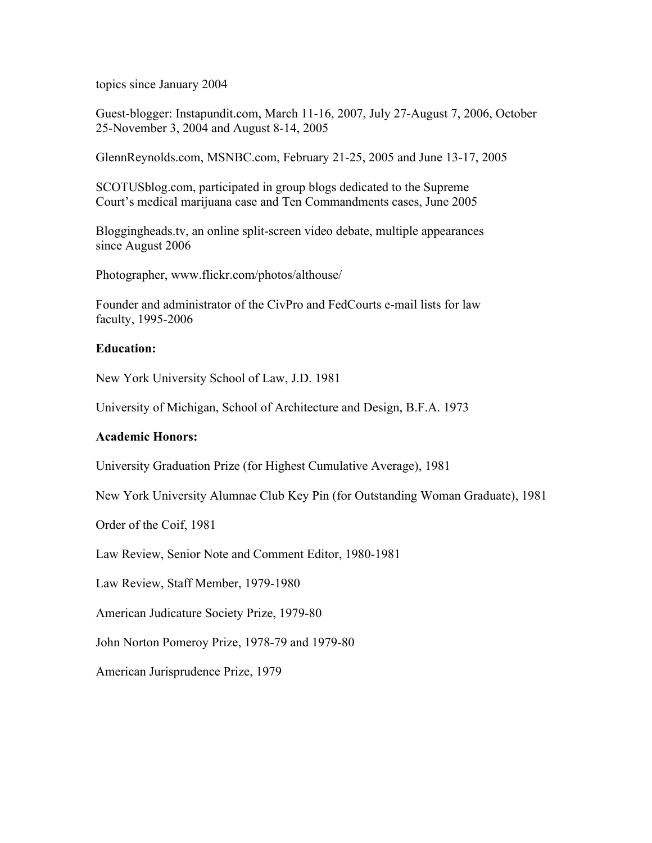topics since January 2004

Guest-blogger: Instapundit.com, March 11-16, 2007, July 27-August 7, 2006, October 25-November 3, 2004 and August 8-14, 2005

GlennReynolds.com, MSNBC.com, February 21-25, 2005 and June 13-17, 2005

SCOTUSblog.com, participated in group blogs dedicated to the Supreme Court's medical marijuana case and Ten Commandments cases, June 2005

Bloggingheads.tv, an online split-screen video debate, multiple appearances since August 2006

Photographer, www.flickr.com/photos/althouse/

Founder and administrator of the CivPro and FedCourts e-mail lists for law faculty, 1995-2006

### **Education:**

New York University School of Law, J.D. 1981

University of Michigan, School of Architecture and Design, B.F.A. 1973

#### **Academic Honors:**

University Graduation Prize (for Highest Cumulative Average), 1981

New York University Alumnae Club Key Pin (for Outstanding Woman Graduate), 1981

Order of the Coif, 1981

Law Review, Senior Note and Comment Editor, 1980-1981

Law Review, Staff Member, 1979-1980

American Judicature Society Prize, 1979-80

John Norton Pomeroy Prize, 1978-79 and 1979-80

American Jurisprudence Prize, 1979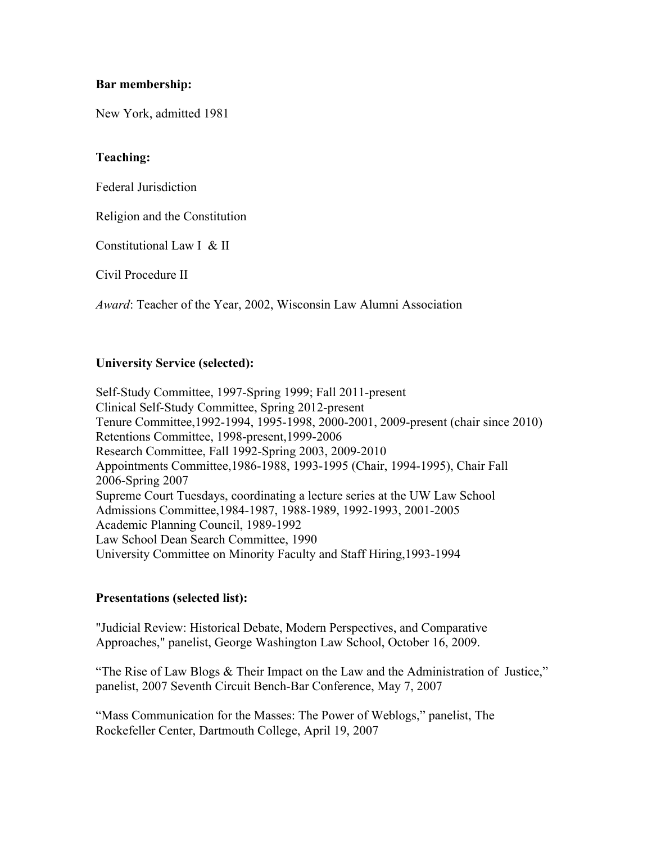# **Bar membership:**

New York, admitted 1981

# **Teaching:**

Federal Jurisdiction

Religion and the Constitution

Constitutional Law I & II

Civil Procedure II

*Award*: Teacher of the Year, 2002, Wisconsin Law Alumni Association

# **University Service (selected):**

Self-Study Committee, 1997-Spring 1999; Fall 2011-present Clinical Self-Study Committee, Spring 2012-present Tenure Committee,1992-1994, 1995-1998, 2000-2001, 2009-present (chair since 2010) Retentions Committee, 1998-present,1999-2006 Research Committee, Fall 1992-Spring 2003, 2009-2010 Appointments Committee,1986-1988, 1993-1995 (Chair, 1994-1995), Chair Fall 2006-Spring 2007 Supreme Court Tuesdays, coordinating a lecture series at the UW Law School Admissions Committee,1984-1987, 1988-1989, 1992-1993, 2001-2005 Academic Planning Council, 1989-1992 Law School Dean Search Committee, 1990 University Committee on Minority Faculty and Staff Hiring,1993-1994

# **Presentations (selected list):**

"Judicial Review: Historical Debate, Modern Perspectives, and Comparative Approaches," panelist, George Washington Law School, October 16, 2009.

"The Rise of Law Blogs & Their Impact on the Law and the Administration of Justice," panelist, 2007 Seventh Circuit Bench-Bar Conference, May 7, 2007

"Mass Communication for the Masses: The Power of Weblogs," panelist, The Rockefeller Center, Dartmouth College, April 19, 2007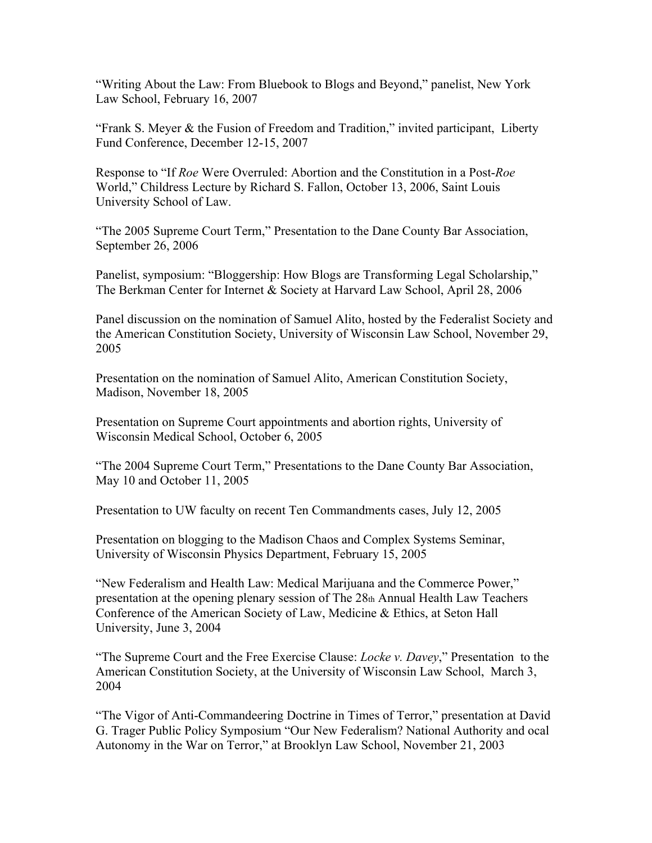"Writing About the Law: From Bluebook to Blogs and Beyond," panelist, New York Law School, February 16, 2007

"Frank S. Meyer & the Fusion of Freedom and Tradition," invited participant, Liberty Fund Conference, December 12-15, 2007

Response to "If *Roe* Were Overruled: Abortion and the Constitution in a Post-*Roe* World," Childress Lecture by Richard S. Fallon, October 13, 2006, Saint Louis University School of Law.

"The 2005 Supreme Court Term," Presentation to the Dane County Bar Association, September 26, 2006

Panelist, symposium: "Bloggership: How Blogs are Transforming Legal Scholarship," The Berkman Center for Internet & Society at Harvard Law School, April 28, 2006

Panel discussion on the nomination of Samuel Alito, hosted by the Federalist Society and the American Constitution Society, University of Wisconsin Law School, November 29, 2005

Presentation on the nomination of Samuel Alito, American Constitution Society, Madison, November 18, 2005

Presentation on Supreme Court appointments and abortion rights, University of Wisconsin Medical School, October 6, 2005

"The 2004 Supreme Court Term," Presentations to the Dane County Bar Association, May 10 and October 11, 2005

Presentation to UW faculty on recent Ten Commandments cases, July 12, 2005

Presentation on blogging to the Madison Chaos and Complex Systems Seminar, University of Wisconsin Physics Department, February 15, 2005

"New Federalism and Health Law: Medical Marijuana and the Commerce Power," presentation at the opening plenary session of The 28th Annual Health Law Teachers Conference of the American Society of Law, Medicine & Ethics, at Seton Hall University, June 3, 2004

"The Supreme Court and the Free Exercise Clause: *Locke v. Davey*," Presentation to the American Constitution Society, at the University of Wisconsin Law School, March 3, 2004

"The Vigor of Anti-Commandeering Doctrine in Times of Terror," presentation at David G. Trager Public Policy Symposium "Our New Federalism? National Authority and ocal Autonomy in the War on Terror," at Brooklyn Law School, November 21, 2003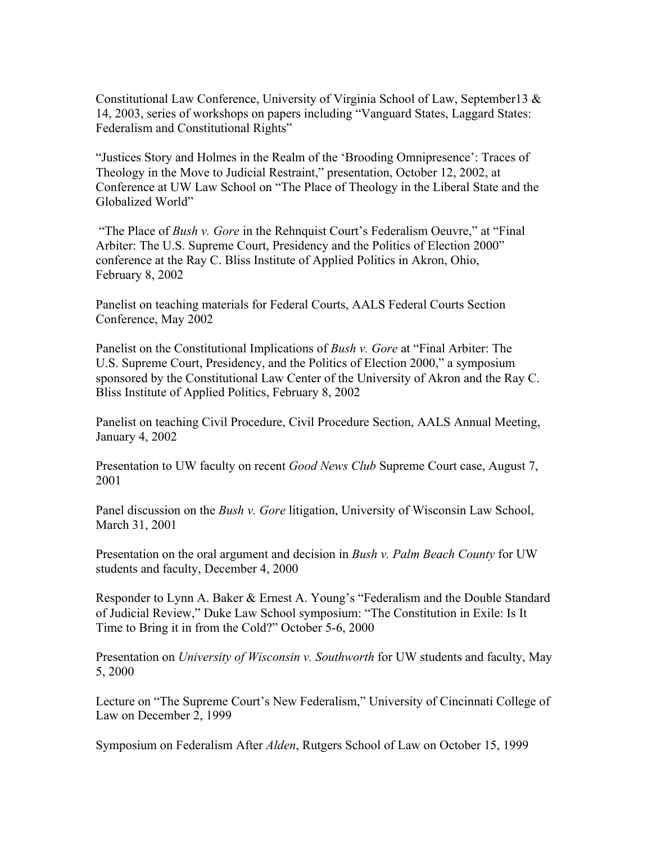Constitutional Law Conference, University of Virginia School of Law, September13 & 14, 2003, series of workshops on papers including "Vanguard States, Laggard States: Federalism and Constitutional Rights"

"Justices Story and Holmes in the Realm of the 'Brooding Omnipresence': Traces of Theology in the Move to Judicial Restraint," presentation, October 12, 2002, at Conference at UW Law School on "The Place of Theology in the Liberal State and the Globalized World"

"The Place of *Bush v. Gore* in the Rehnquist Court's Federalism Oeuvre," at "Final Arbiter: The U.S. Supreme Court, Presidency and the Politics of Election 2000" conference at the Ray C. Bliss Institute of Applied Politics in Akron, Ohio, February 8, 2002

Panelist on teaching materials for Federal Courts, AALS Federal Courts Section Conference, May 2002

Panelist on the Constitutional Implications of *Bush v. Gore* at "Final Arbiter: The U.S. Supreme Court, Presidency, and the Politics of Election 2000," a symposium sponsored by the Constitutional Law Center of the University of Akron and the Ray C. Bliss Institute of Applied Politics, February 8, 2002

Panelist on teaching Civil Procedure, Civil Procedure Section, AALS Annual Meeting, January 4, 2002

Presentation to UW faculty on recent *Good News Club* Supreme Court case, August 7, 2001

Panel discussion on the *Bush v. Gore* litigation, University of Wisconsin Law School, March 31, 2001

Presentation on the oral argument and decision in *Bush v. Palm Beach County* for UW students and faculty, December 4, 2000

Responder to Lynn A. Baker & Ernest A. Young's "Federalism and the Double Standard of Judicial Review," Duke Law School symposium: "The Constitution in Exile: Is It Time to Bring it in from the Cold?" October 5-6, 2000

Presentation on *University of Wisconsin v. Southworth* for UW students and faculty, May 5, 2000

Lecture on "The Supreme Court's New Federalism," University of Cincinnati College of Law on December 2, 1999

Symposium on Federalism After *Alden*, Rutgers School of Law on October 15, 1999